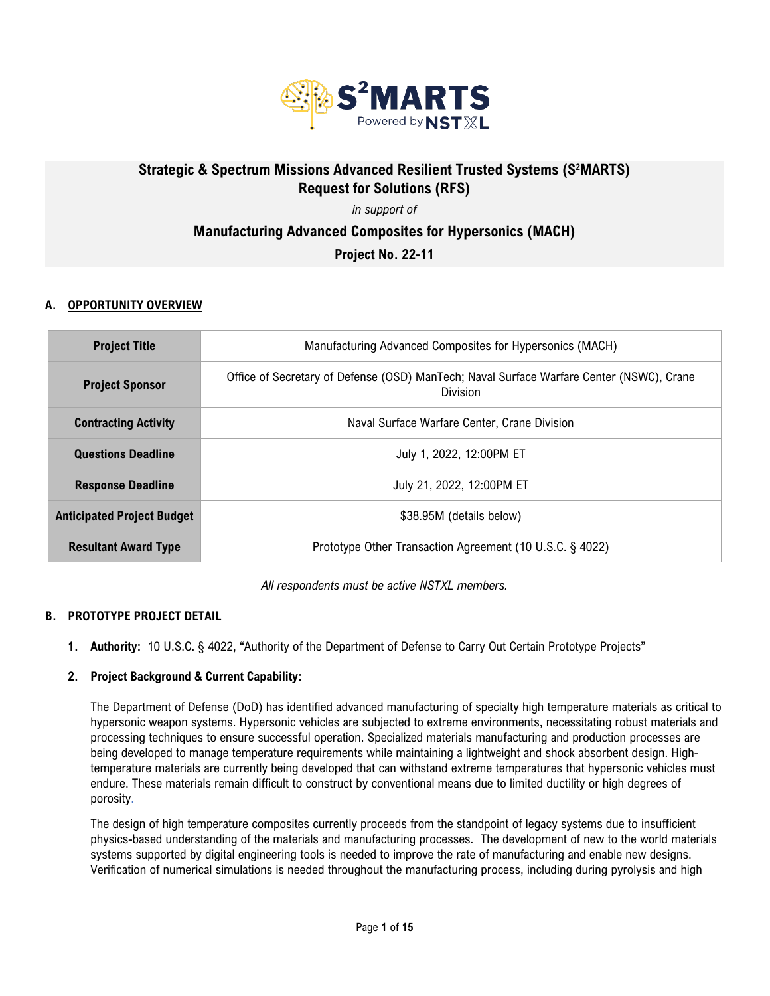

# Strategic & Spectrum Missions Advanced Resilient Trusted Systems (S<sup>2</sup>MARTS) **Request for Solutions (RFS)**

## *in support of* **Manufacturing Advanced Composites for Hypersonics (MACH) Project No. 22-11**

## **A. OPPORTUNITY OVERVIEW**

| <b>Project Title</b>              | Manufacturing Advanced Composites for Hypersonics (MACH)                                             |  |
|-----------------------------------|------------------------------------------------------------------------------------------------------|--|
| <b>Project Sponsor</b>            | Office of Secretary of Defense (OSD) ManTech; Naval Surface Warfare Center (NSWC), Crane<br>Division |  |
| <b>Contracting Activity</b>       | Naval Surface Warfare Center, Crane Division                                                         |  |
| <b>Questions Deadline</b>         | July 1, 2022, 12:00PM ET                                                                             |  |
| <b>Response Deadline</b>          | July 21, 2022, 12:00PM ET                                                                            |  |
| <b>Anticipated Project Budget</b> | \$38.95M (details below)                                                                             |  |
| <b>Resultant Award Type</b>       | Prototype Other Transaction Agreement (10 U.S.C. § 4022)                                             |  |

*All respondents must be active NSTXL members.*

#### **B. PROTOTYPE PROJECT DETAIL**

**1. Authority:** 10 U.S.C. § 4022, "Authority of the Department of Defense to Carry Out Certain Prototype Projects"

#### **2. Project Background & Current Capability:**

The Department of Defense (DoD) has identified advanced manufacturing of specialty high temperature materials as critical to hypersonic weapon systems. Hypersonic vehicles are subjected to extreme environments, necessitating robust materials and processing techniques to ensure successful operation. Specialized materials manufacturing and production processes are being developed to manage temperature requirements while maintaining a lightweight and shock absorbent design. Hightemperature materials are currently being developed that can withstand extreme temperatures that hypersonic vehicles must endure. These materials remain difficult to construct by conventional means due to limited ductility or high degrees of porosity.

The design of high temperature composites currently proceeds from the standpoint of legacy systems due to insufficient physics-based understanding of the materials and manufacturing processes. The development of new to the world materials systems supported by digital engineering tools is needed to improve the rate of manufacturing and enable new designs. Verification of numerical simulations is needed throughout the manufacturing process, including during pyrolysis and high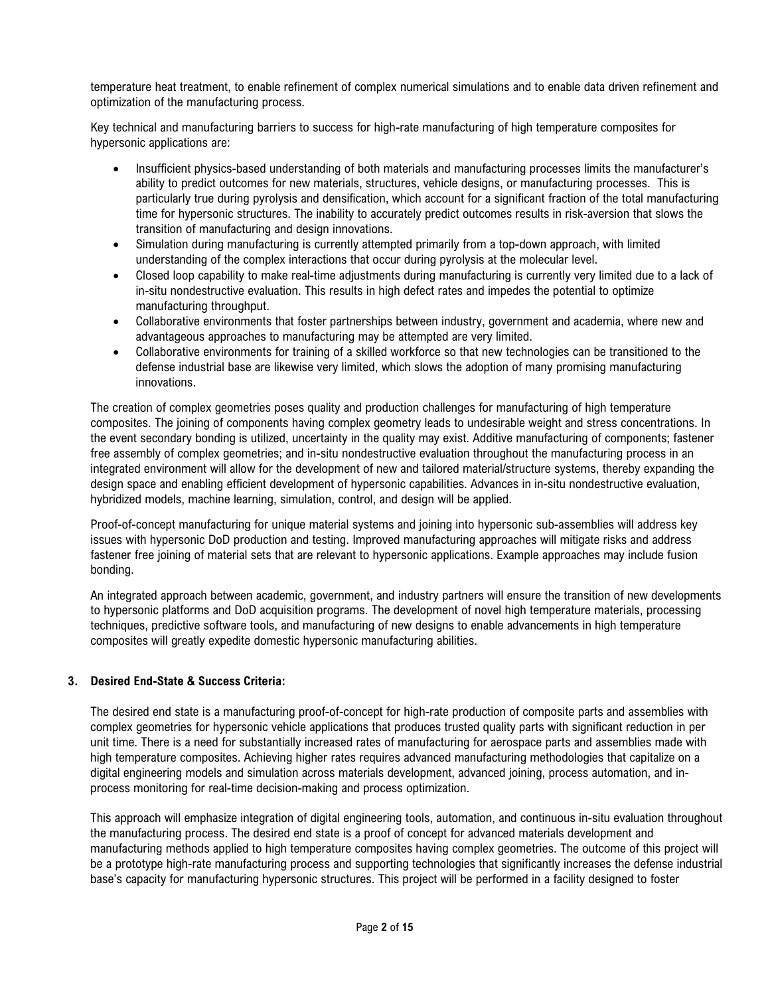temperature heat treatment, to enable refinement of complex numerical simulations and to enable data driven refinement and optimization of the manufacturing process.

Key technical and manufacturing barriers to success for high-rate manufacturing of high temperature composites for hypersonic applications are:

- Insufficient physics-based understanding of both materials and manufacturing processes limits the manufacturer's ability to predict outcomes for new materials, structures, vehicle designs, or manufacturing processes. This is particularly true during pyrolysis and densification, which account for a significant fraction of the total manufacturing time for hypersonic structures. The inability to accurately predict outcomes results in risk-aversion that slows the transition of manufacturing and design innovations.
- Simulation during manufacturing is currently attempted primarily from a top-down approach, with limited understanding of the complex interactions that occur during pyrolysis at the molecular level.
- Closed loop capability to make real-time adjustments during manufacturing is currently very limited due to a lack of in-situ nondestructive evaluation. This results in high defect rates and impedes the potential to optimize manufacturing throughput.
- Collaborative environments that foster partnerships between industry, government and academia, where new and advantageous approaches to manufacturing may be attempted are very limited.
- Collaborative environments for training of a skilled workforce so that new technologies can be transitioned to the defense industrial base are likewise very limited, which slows the adoption of many promising manufacturing innovations.

The creation of complex geometries poses quality and production challenges for manufacturing of high temperature composites. The joining of components having complex geometry leads to undesirable weight and stress concentrations. In the event secondary bonding is utilized, uncertainty in the quality may exist. Additive manufacturing of components; fastener free assembly of complex geometries; and in-situ nondestructive evaluation throughout the manufacturing process in an integrated environment will allow for the development of new and tailored material/structure systems, thereby expanding the design space and enabling efficient development of hypersonic capabilities. Advances in in-situ nondestructive evaluation, hybridized models, machine learning, simulation, control, and design will be applied.

Proof-of-concept manufacturing for unique material systems and joining into hypersonic sub-assemblies will address key issues with hypersonic DoD production and testing. Improved manufacturing approaches will mitigate risks and address fastener free joining of material sets that are relevant to hypersonic applications. Example approaches may include fusion bonding.

An integrated approach between academic, government, and industry partners will ensure the transition of new developments to hypersonic platforms and DoD acquisition programs. The development of novel high temperature materials, processing techniques, predictive software tools, and manufacturing of new designs to enable advancements in high temperature composites will greatly expedite domestic hypersonic manufacturing abilities.

## **3. Desired End-State & Success Criteria:**

The desired end state is a manufacturing proof-of-concept for high-rate production of composite parts and assemblies with complex geometries for hypersonic vehicle applications that produces trusted quality parts with significant reduction in per unit time. There is a need for substantially increased rates of manufacturing for aerospace parts and assemblies made with high temperature composites. Achieving higher rates requires advanced manufacturing methodologies that capitalize on a digital engineering models and simulation across materials development, advanced joining, process automation, and inprocess monitoring for real-time decision-making and process optimization.

This approach will emphasize integration of digital engineering tools, automation, and continuous in-situ evaluation throughout the manufacturing process. The desired end state is a proof of concept for advanced materials development and manufacturing methods applied to high temperature composites having complex geometries. The outcome of this project will be a prototype high-rate manufacturing process and supporting technologies that significantly increases the defense industrial base's capacity for manufacturing hypersonic structures. This project will be performed in a facility designed to foster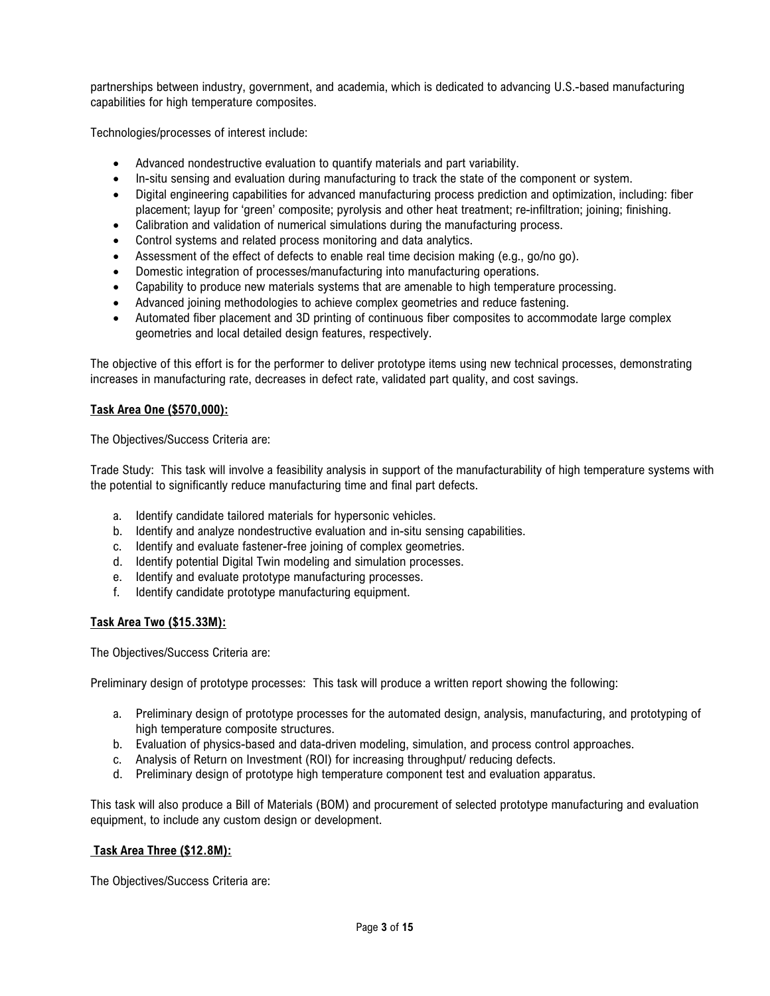partnerships between industry, government, and academia, which is dedicated to advancing U.S.-based manufacturing capabilities for high temperature composites.

Technologies/processes of interest include:

- Advanced nondestructive evaluation to quantify materials and part variability.
- In-situ sensing and evaluation during manufacturing to track the state of the component or system.
- Digital engineering capabilities for advanced manufacturing process prediction and optimization, including: fiber placement; layup for 'green' composite; pyrolysis and other heat treatment; re-infiltration; joining; finishing.
- Calibration and validation of numerical simulations during the manufacturing process.
- Control systems and related process monitoring and data analytics.
- Assessment of the effect of defects to enable real time decision making (e.g., go/no go).
- Domestic integration of processes/manufacturing into manufacturing operations.
- Capability to produce new materials systems that are amenable to high temperature processing.
- Advanced joining methodologies to achieve complex geometries and reduce fastening.
- Automated fiber placement and 3D printing of continuous fiber composites to accommodate large complex geometries and local detailed design features, respectively.

The objective of this effort is for the performer to deliver prototype items using new technical processes, demonstrating increases in manufacturing rate, decreases in defect rate, validated part quality, and cost savings.

#### **Task Area One (\$570,000):**

The Objectives/Success Criteria are:

Trade Study: This task will involve a feasibility analysis in support of the manufacturability of high temperature systems with the potential to significantly reduce manufacturing time and final part defects.

- a. Identify candidate tailored materials for hypersonic vehicles.
- b. Identify and analyze nondestructive evaluation and in-situ sensing capabilities.
- c. Identify and evaluate fastener-free joining of complex geometries.
- d. Identify potential Digital Twin modeling and simulation processes.
- e. Identify and evaluate prototype manufacturing processes.
- f. Identify candidate prototype manufacturing equipment.

#### **Task Area Two (\$15.33M):**

The Objectives/Success Criteria are:

Preliminary design of prototype processes: This task will produce a written report showing the following:

- a. Preliminary design of prototype processes for the automated design, analysis, manufacturing, and prototyping of high temperature composite structures.
- b. Evaluation of physics-based and data-driven modeling, simulation, and process control approaches.
- c. Analysis of Return on Investment (ROI) for increasing throughput/ reducing defects.
- d. Preliminary design of prototype high temperature component test and evaluation apparatus.

This task will also produce a Bill of Materials (BOM) and procurement of selected prototype manufacturing and evaluation equipment, to include any custom design or development.

#### **Task Area Three (\$12.8M):**

The Objectives/Success Criteria are: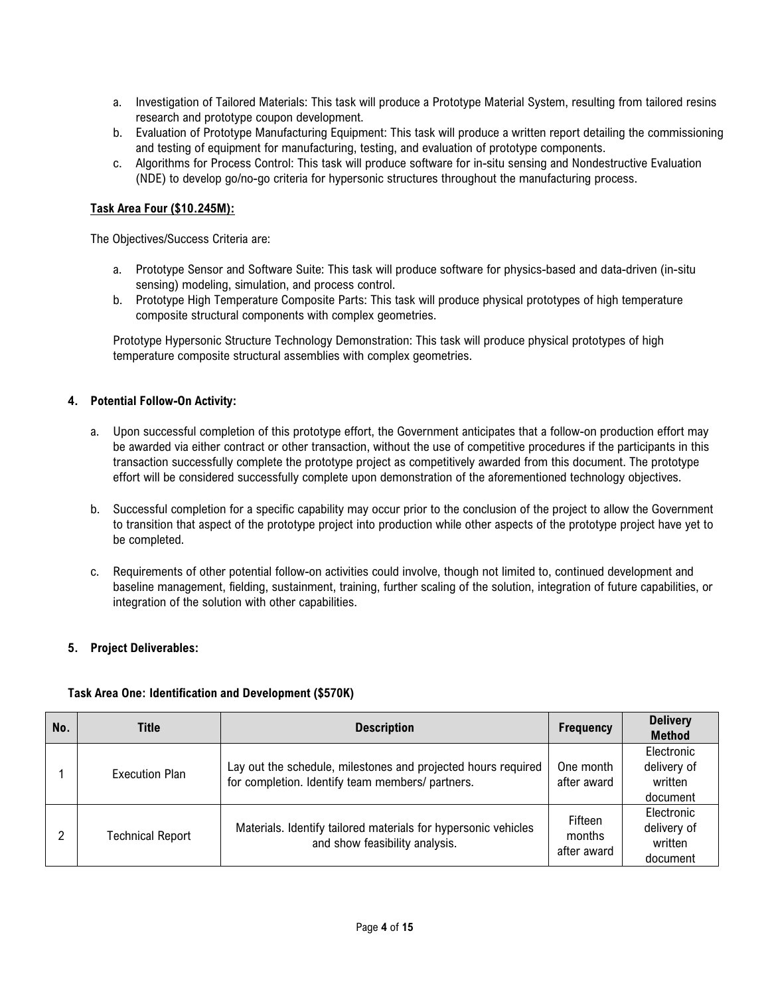- a. Investigation of Tailored Materials: This task will produce a Prototype Material System, resulting from tailored resins research and prototype coupon development.
- b. Evaluation of Prototype Manufacturing Equipment: This task will produce a written report detailing the commissioning and testing of equipment for manufacturing, testing, and evaluation of prototype components.
- c. Algorithms for Process Control: This task will produce software for in-situ sensing and Nondestructive Evaluation (NDE) to develop go/no-go criteria for hypersonic structures throughout the manufacturing process.

#### **Task Area Four (\$10.245M):**

The Objectives/Success Criteria are:

- a. Prototype Sensor and Software Suite: This task will produce software for physics-based and data-driven (in-situ sensing) modeling, simulation, and process control.
- b. Prototype High Temperature Composite Parts: This task will produce physical prototypes of high temperature composite structural components with complex geometries.

Prototype Hypersonic Structure Technology Demonstration: This task will produce physical prototypes of high temperature composite structural assemblies with complex geometries.

#### **4. Potential Follow-On Activity:**

- a. Upon successful completion of this prototype effort, the Government anticipates that a follow-on production effort may be awarded via either contract or other transaction, without the use of competitive procedures if the participants in this transaction successfully complete the prototype project as competitively awarded from this document. The prototype effort will be considered successfully complete upon demonstration of the aforementioned technology objectives.
- b. Successful completion for a specific capability may occur prior to the conclusion of the project to allow the Government to transition that aspect of the prototype project into production while other aspects of the prototype project have yet to be completed.
- c. Requirements of other potential follow-on activities could involve, though not limited to, continued development and baseline management, fielding, sustainment, training, further scaling of the solution, integration of future capabilities, or integration of the solution with other capabilities.

#### **5. Project Deliverables:**

#### **Task Area One: Identification and Development (\$570K)**

| No. | Title                   | <b>Description</b>                                                                                                | Frequency                        | <b>Delivery</b><br><b>Method</b>                 |
|-----|-------------------------|-------------------------------------------------------------------------------------------------------------------|----------------------------------|--------------------------------------------------|
|     | Execution Plan          | Lay out the schedule, milestones and projected hours required<br>for completion. Identify team members/ partners. | One month<br>after award         | Electronic<br>delivery of<br>written<br>document |
|     | <b>Technical Report</b> | Materials. Identify tailored materials for hypersonic vehicles<br>and show feasibility analysis.                  | Fifteen<br>months<br>after award | Electronic<br>delivery of<br>written<br>document |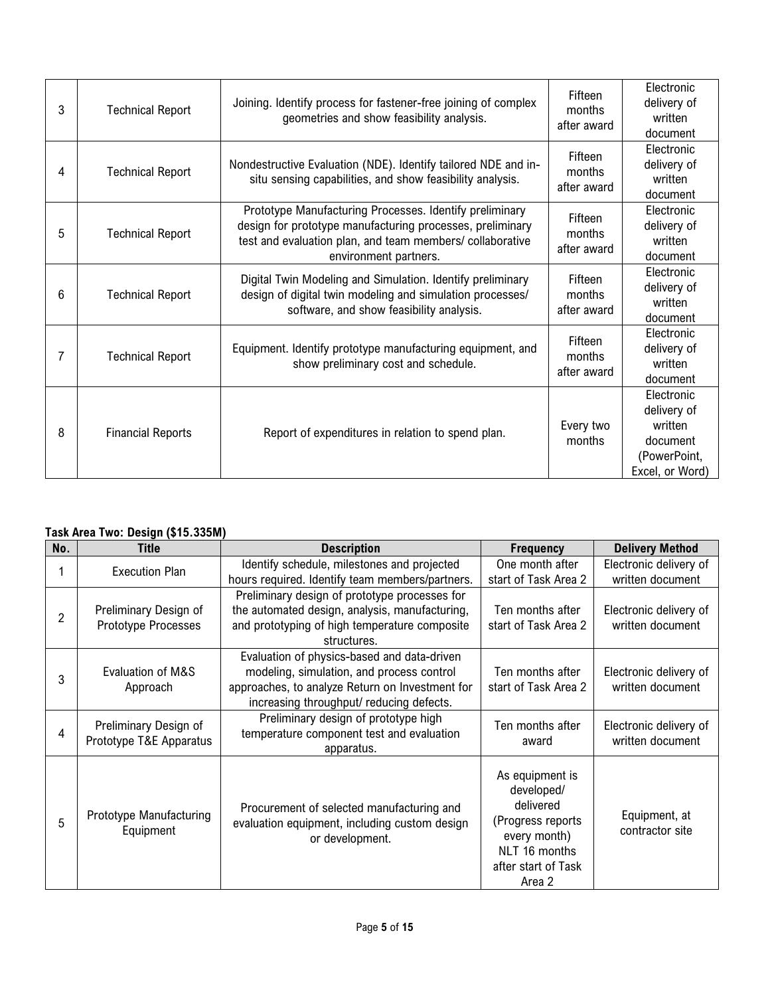| 3 | <b>Technical Report</b>  | Joining. Identify process for fastener-free joining of complex<br>geometries and show feasibility analysis.                                                                                               | Fifteen<br>months<br>after award | Electronic<br>delivery of<br>written<br>document                                    |
|---|--------------------------|-----------------------------------------------------------------------------------------------------------------------------------------------------------------------------------------------------------|----------------------------------|-------------------------------------------------------------------------------------|
| 4 | <b>Technical Report</b>  | Nondestructive Evaluation (NDE). Identify tailored NDE and in-<br>situ sensing capabilities, and show feasibility analysis.                                                                               | Fifteen<br>months<br>after award | Electronic<br>delivery of<br>written<br>document                                    |
| 5 | <b>Technical Report</b>  | Prototype Manufacturing Processes. Identify preliminary<br>design for prototype manufacturing processes, preliminary<br>test and evaluation plan, and team members/collaborative<br>environment partners. | Fifteen<br>months<br>after award | Electronic<br>delivery of<br>written<br>document                                    |
| 6 | <b>Technical Report</b>  | Digital Twin Modeling and Simulation. Identify preliminary<br>design of digital twin modeling and simulation processes/<br>software, and show feasibility analysis.                                       | Fifteen<br>months<br>after award | Electronic<br>delivery of<br>written<br>document                                    |
| 7 | <b>Technical Report</b>  | Equipment. Identify prototype manufacturing equipment, and<br>show preliminary cost and schedule.                                                                                                         | Fifteen<br>months<br>after award | Electronic<br>delivery of<br>written<br>document                                    |
| 8 | <b>Financial Reports</b> | Report of expenditures in relation to spend plan.                                                                                                                                                         | Every two<br>months              | Electronic<br>delivery of<br>written<br>document<br>(PowerPoint,<br>Excel, or Word) |

## **Task Area Two: Design (\$15.335M)**

| No. | <b>Title</b>                                     | <b>Description</b>                                                                                                                                                                      | <b>Frequency</b>                                                                                                                  | <b>Delivery Method</b>                     |
|-----|--------------------------------------------------|-----------------------------------------------------------------------------------------------------------------------------------------------------------------------------------------|-----------------------------------------------------------------------------------------------------------------------------------|--------------------------------------------|
|     | <b>Execution Plan</b>                            | Identify schedule, milestones and projected<br>hours required. Identify team members/partners.                                                                                          | One month after<br>start of Task Area 2                                                                                           | Electronic delivery of<br>written document |
| 2   | Preliminary Design of<br>Prototype Processes     | Preliminary design of prototype processes for<br>the automated design, analysis, manufacturing,<br>and prototyping of high temperature composite<br>structures.                         | Ten months after<br>start of Task Area 2                                                                                          | Electronic delivery of<br>written document |
| 3   | Evaluation of M&S<br>Approach                    | Evaluation of physics-based and data-driven<br>modeling, simulation, and process control<br>approaches, to analyze Return on Investment for<br>increasing throughput/ reducing defects. | Ten months after<br>start of Task Area 2                                                                                          | Electronic delivery of<br>written document |
| 4   | Preliminary Design of<br>Prototype T&E Apparatus | Preliminary design of prototype high<br>temperature component test and evaluation<br>apparatus.                                                                                         | Ten months after<br>award                                                                                                         | Electronic delivery of<br>written document |
| 5   | Prototype Manufacturing<br>Equipment             | Procurement of selected manufacturing and<br>evaluation equipment, including custom design<br>or development.                                                                           | As equipment is<br>developed/<br>delivered<br>(Progress reports<br>every month)<br>NLT 16 months<br>after start of Task<br>Area 2 | Equipment, at<br>contractor site           |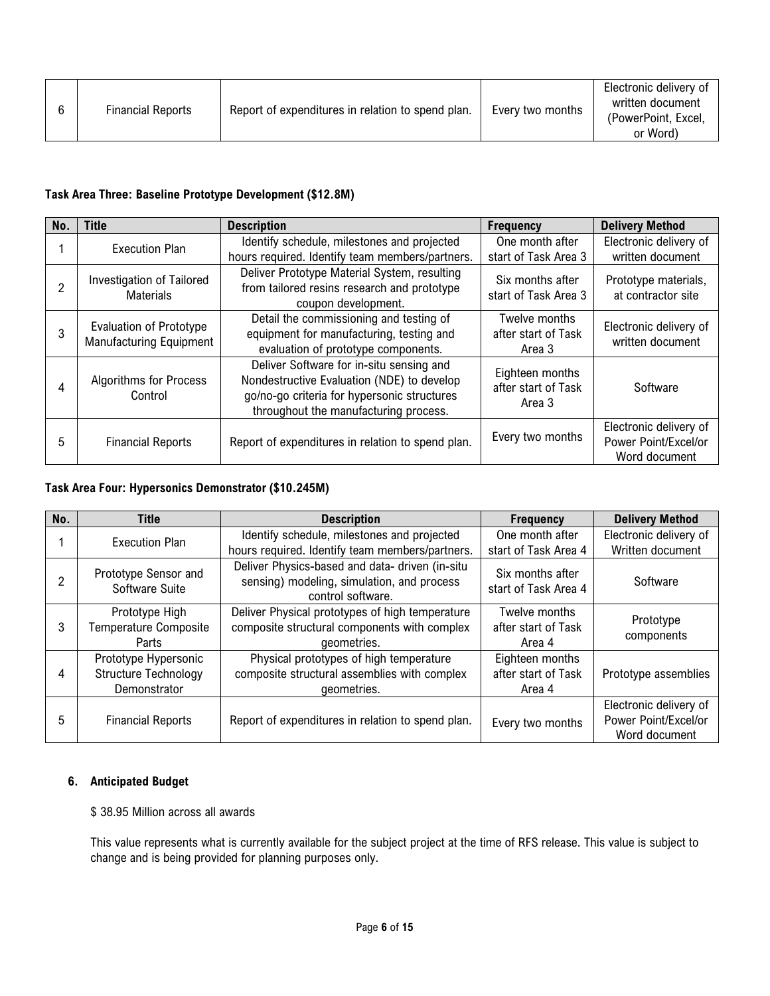| Report of expenditures in relation to spend plan.<br><b>Financial Reports</b><br>Every two months |  |  |  |  | Electronic delivery of<br>written document<br>(PowerPoint, Excel,<br>or Word) |
|---------------------------------------------------------------------------------------------------|--|--|--|--|-------------------------------------------------------------------------------|
|---------------------------------------------------------------------------------------------------|--|--|--|--|-------------------------------------------------------------------------------|

## **Task Area Three: Baseline Prototype Development (\$12.8M)**

| No. | Title                                                            | <b>Description</b>                                                                                                                                                             | <b>Frequency</b>                                 | <b>Delivery Method</b>                                          |
|-----|------------------------------------------------------------------|--------------------------------------------------------------------------------------------------------------------------------------------------------------------------------|--------------------------------------------------|-----------------------------------------------------------------|
|     | <b>Execution Plan</b>                                            | Identify schedule, milestones and projected<br>hours required. Identify team members/partners.                                                                                 | One month after<br>start of Task Area 3          | Electronic delivery of<br>written document                      |
| っ   | <b>Investigation of Tailored</b><br><b>Materials</b>             | Deliver Prototype Material System, resulting<br>from tailored resins research and prototype<br>coupon development.                                                             | Six months after<br>start of Task Area 3         | Prototype materials,<br>at contractor site                      |
| 3   | <b>Evaluation of Prototype</b><br><b>Manufacturing Equipment</b> | Detail the commissioning and testing of<br>equipment for manufacturing, testing and<br>evaluation of prototype components.                                                     | Twelve months<br>after start of Task<br>Area 3   | Electronic delivery of<br>written document                      |
| 4   | <b>Algorithms for Process</b><br>Control                         | Deliver Software for in-situ sensing and<br>Nondestructive Evaluation (NDE) to develop<br>go/no-go criteria for hypersonic structures<br>throughout the manufacturing process. | Eighteen months<br>after start of Task<br>Area 3 | Software                                                        |
| 5   | <b>Financial Reports</b>                                         | Report of expenditures in relation to spend plan.                                                                                                                              | Every two months                                 | Electronic delivery of<br>Power Point/Excel/or<br>Word document |

#### **Task Area Four: Hypersonics Demonstrator (\$10.245M)**

| No. | <b>Title</b>                                                        | <b>Description</b>                                                                                                 | <b>Frequency</b>                                 | <b>Delivery Method</b>                                          |
|-----|---------------------------------------------------------------------|--------------------------------------------------------------------------------------------------------------------|--------------------------------------------------|-----------------------------------------------------------------|
|     | <b>Execution Plan</b>                                               | Identify schedule, milestones and projected<br>hours required. Identify team members/partners.                     | One month after<br>start of Task Area 4          | Electronic delivery of<br>Written document                      |
|     | Prototype Sensor and<br>Software Suite                              | Deliver Physics-based and data- driven (in-situ<br>sensing) modeling, simulation, and process<br>control software. | Six months after<br>start of Task Area 4         | Software                                                        |
| 3   | Prototype High<br>Temperature Composite<br>Parts                    | Deliver Physical prototypes of high temperature<br>composite structural components with complex<br>geometries.     | Twelve months<br>after start of Task<br>Area 4   | Prototype<br>components                                         |
| 4   | Prototype Hypersonic<br><b>Structure Technology</b><br>Demonstrator | Physical prototypes of high temperature<br>composite structural assemblies with complex<br>geometries.             | Eighteen months<br>after start of Task<br>Area 4 | Prototype assemblies                                            |
| 5   | <b>Financial Reports</b>                                            | Report of expenditures in relation to spend plan.                                                                  | Every two months                                 | Electronic delivery of<br>Power Point/Excel/or<br>Word document |

#### **6. Anticipated Budget**

#### \$ 38.95 Million across all awards

This value represents what is currently available for the subject project at the time of RFS release. This value is subject to change and is being provided for planning purposes only.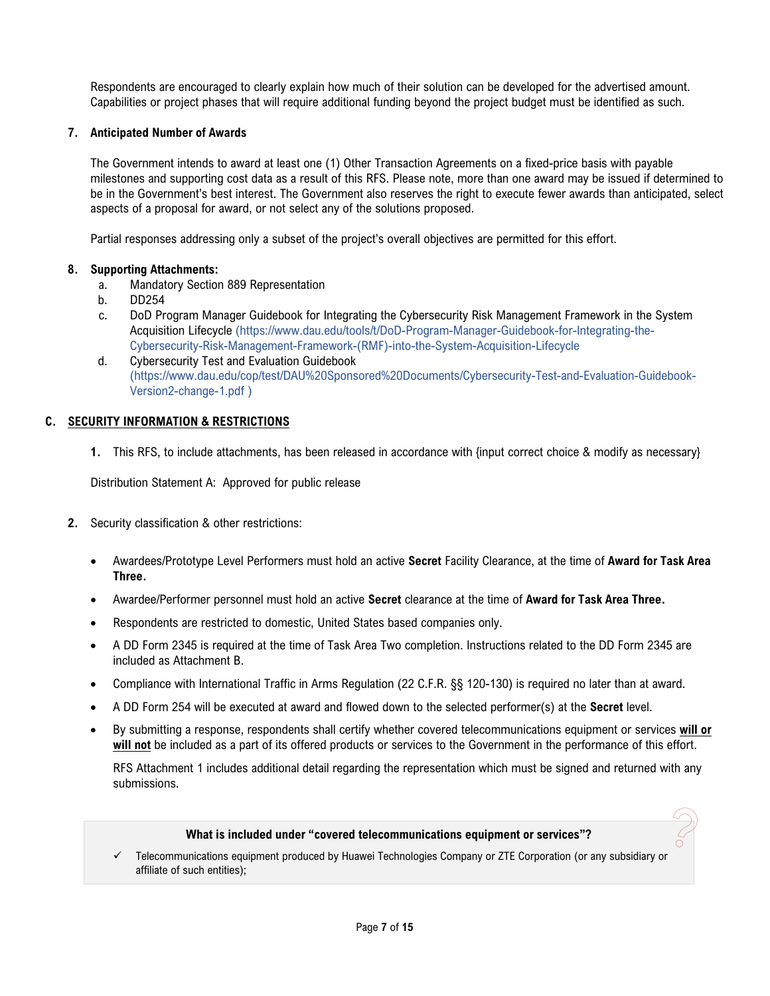Respondents are encouraged to clearly explain how much of their solution can be developed for the advertised amount. Capabilities or project phases that will require additional funding beyond the project budget must be identified as such.

#### **7. Anticipated Number of Awards**

The Government intends to award at least one (1) Other Transaction Agreements on a fixed-price basis with payable milestones and supporting cost data as a result of this RFS. Please note, more than one award may be issued if determined to be in the Government's best interest. The Government also reserves the right to execute fewer awards than anticipated, select aspects of a proposal for award, or not select any of the solutions proposed.

Partial responses addressing only a subset of the project's overall objectives are permitted for this effort.

#### **8. Supporting Attachments:**

- a. Mandatory Section 889 Representation
- b. DD254
- c. DoD Program Manager Guidebook for Integrating the Cybersecurity Risk Management Framework in the System Acquisition Lifecycle (https://www.dau.edu/tools/t/DoD-Program-Manager-Guidebook-for-Integrating-the-Cybersecurity-Risk-Management-Framework-(RMF)-into-the-System-Acquisition-Lifecycle
- d. Cybersecurity Test and Evaluation Guidebook (https://www.dau.edu/cop/test/DAU%20Sponsored%20Documents/Cybersecurity-Test-and-Evaluation-Guidebook-Version2-change-1.pdf )

#### **C. SECURITY INFORMATION & RESTRICTIONS**

**1.** This RFS, to include attachments, has been released in accordance with {input correct choice & modify as necessary}

Distribution Statement A: Approved for public release

- **2.** Security classification & other restrictions:
	- Awardees/Prototype Level Performers must hold an active **Secret** Facility Clearance, at the time of **Award for Task Area Three.**
	- Awardee/Performer personnel must hold an active **Secret** clearance at the time of **Award for Task Area Three.**
	- Respondents are restricted to domestic, United States based companies only.
	- A DD Form 2345 is required at the time of Task Area Two completion. Instructions related to the DD Form 2345 are included as Attachment B.
	- Compliance with International Traffic in Arms Regulation (22 C.F.R. §§ 120-130) is required no later than at award.
	- A DD Form 254 will be executed at award and flowed down to the selected performer(s) at the **Secret** level.
	- By submitting a response, respondents shall certify whether covered telecommunications equipment or services **will or will not** be included as a part of its offered products or services to the Government in the performance of this effort.

RFS Attachment 1 includes additional detail regarding the representation which must be signed and returned with any submissions.

#### **What is included under "covered telecommunications equipment or services"?**

 Telecommunications equipment produced by Huawei Technologies Company or ZTE Corporation (or any subsidiary or affiliate of such entities);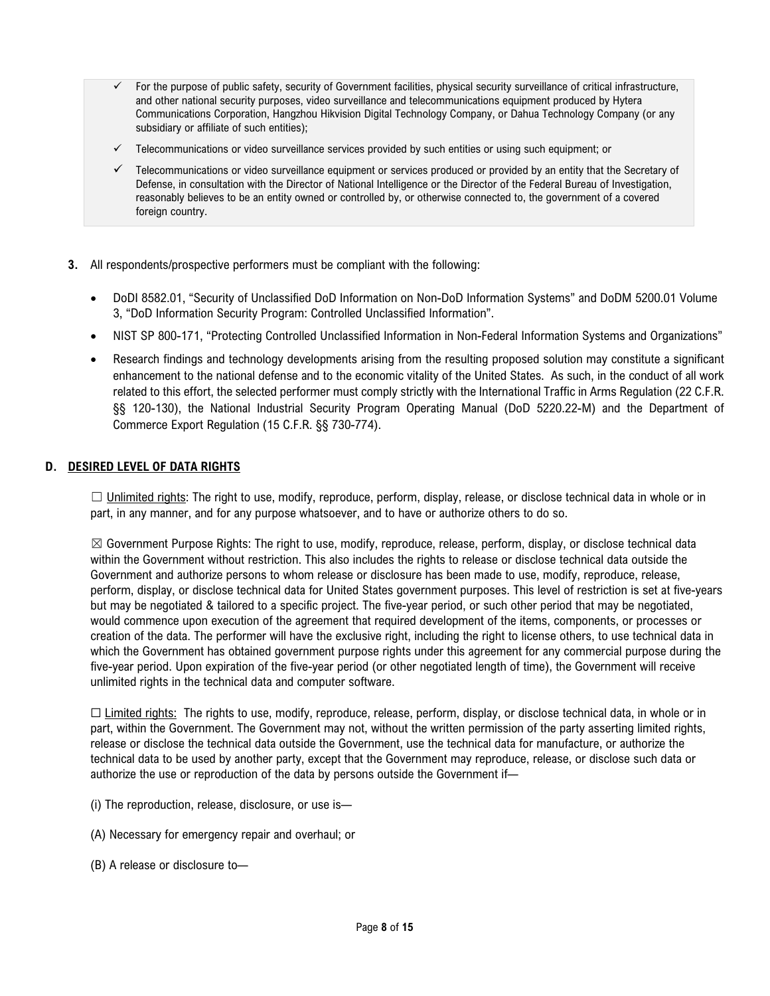- For the purpose of public safety, security of Government facilities, physical security surveillance of critical infrastructure, and other national security purposes, video surveillance and telecommunications equipment produced by Hytera Communications Corporation, Hangzhou Hikvision Digital Technology Company, or Dahua Technology Company (or any subsidiary or affiliate of such entities);
- $\checkmark$  Telecommunications or video surveillance services provided by such entities or using such equipment; or
- $\checkmark$  Telecommunications or video surveillance equipment or services produced or provided by an entity that the Secretary of Defense, in consultation with the Director of National Intelligence or the Director of the Federal Bureau of Investigation, reasonably believes to be an entity owned or controlled by, or otherwise connected to, the government of a covered foreign country.
- **3.** All respondents/prospective performers must be compliant with the following:
	- DoDI 8582.01, "Security of Unclassified DoD Information on Non-DoD Information Systems" and DoDM 5200.01 Volume 3, "DoD Information Security Program: Controlled Unclassified Information".
	- NIST SP 800-171, "Protecting Controlled Unclassified Information in Non-Federal Information Systems and Organizations"
	- Research findings and technology developments arising from the resulting proposed solution may constitute a significant enhancement to the national defense and to the economic vitality of the United States. As such, in the conduct of all work related to this effort, the selected performer must comply strictly with the International Traffic in Arms Regulation (22 C.F.R. §§ 120-130), the National Industrial Security Program Operating Manual (DoD 5220.22-M) and the Department of Commerce Export Regulation (15 C.F.R. §§ 730-774).

#### **D. DESIRED LEVEL OF DATA RIGHTS**

 $\Box$  Unlimited rights: The right to use, modify, reproduce, perform, display, release, or disclose technical data in whole or in part, in any manner, and for any purpose whatsoever, and to have or authorize others to do so.

 $\boxtimes$  Government Purpose Rights: The right to use, modify, reproduce, release, perform, display, or disclose technical data within the Government without restriction. This also includes the rights to release or disclose technical data outside the Government and authorize persons to whom release or disclosure has been made to use, modify, reproduce, release, perform, display, or disclose technical data for United States government purposes. This level of restriction is set at five-years but may be negotiated & tailored to a specific project. The five-year period, or such other period that may be negotiated, would commence upon execution of the agreement that required development of the items, components, or processes or creation of the data. The performer will have the exclusive right, including the right to license others, to use technical data in which the Government has obtained government purpose rights under this agreement for any commercial purpose during the five-year period. Upon expiration of the five-year period (or other negotiated length of time), the Government will receive unlimited rights in the technical data and computer software.

 $\Box$  Limited rights: The rights to use, modify, reproduce, release, perform, display, or disclose technical data, in whole or in part, within the Government. The Government may not, without the written permission of the party asserting limited rights, release or disclose the technical data outside the Government, use the technical data for manufacture, or authorize the technical data to be used by another party, except that the Government may reproduce, release, or disclose such data or authorize the use or reproduction of the data by persons outside the Government if—

- (i) The reproduction, release, disclosure, or use is—
- (A) Necessary for emergency repair and overhaul; or
- (B) A release or disclosure to—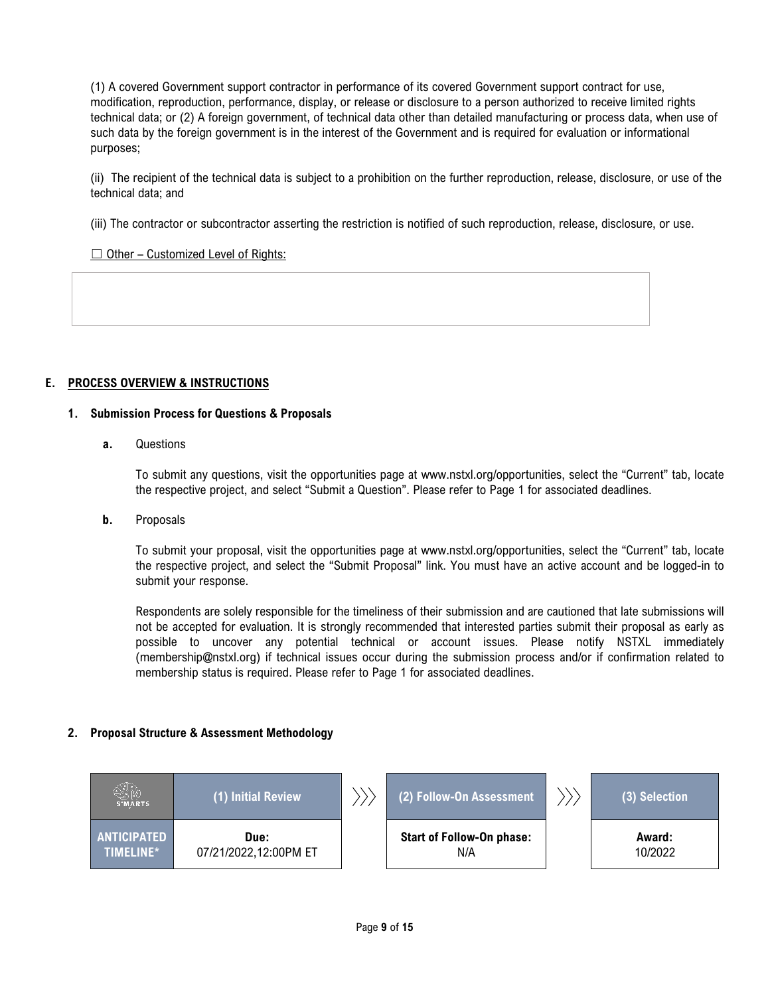(1) A covered Government support contractor in performance of its covered Government support contract for use, modification, reproduction, performance, display, or release or disclosure to a person authorized to receive limited rights technical data; or (2) A foreign government, of technical data other than detailed manufacturing or process data, when use of such data by the foreign government is in the interest of the Government and is required for evaluation or informational purposes;

(ii) The recipient of the technical data is subject to a prohibition on the further reproduction, release, disclosure, or use of the technical data; and

(iii) The contractor or subcontractor asserting the restriction is notified of such reproduction, release, disclosure, or use.

 $\Box$  Other – Customized Level of Rights:

## **E. PROCESS OVERVIEW & INSTRUCTIONS**

#### **1. Submission Process for Questions & Proposals**

**a.** Questions

To submit any questions, visit the opportunities page at www.nstxl.org/opportunities, select the "Current" tab, locate the respective project, and select "Submit a Question". Please refer to Page 1 for associated deadlines.

**b.** Proposals

To submit your proposal, visit the opportunities page at www.nstxl.org/opportunities, select the "Current" tab, locate the respective project, and select the "Submit Proposal" link. You must have an active account and be logged-in to submit your response.

Respondents are solely responsible for the timeliness of their submission and are cautioned that late submissions will not be accepted for evaluation. It is strongly recommended that interested parties submit their proposal as early as possible to uncover any potential technical or account issues. Please notify NSTXL immediately (membership@nstxl.org) if technical issues occur during the submission process and/or if confirmation related to membership status is required. Please refer to Page 1 for associated deadlines.

#### **2. Proposal Structure & Assessment Methodology**

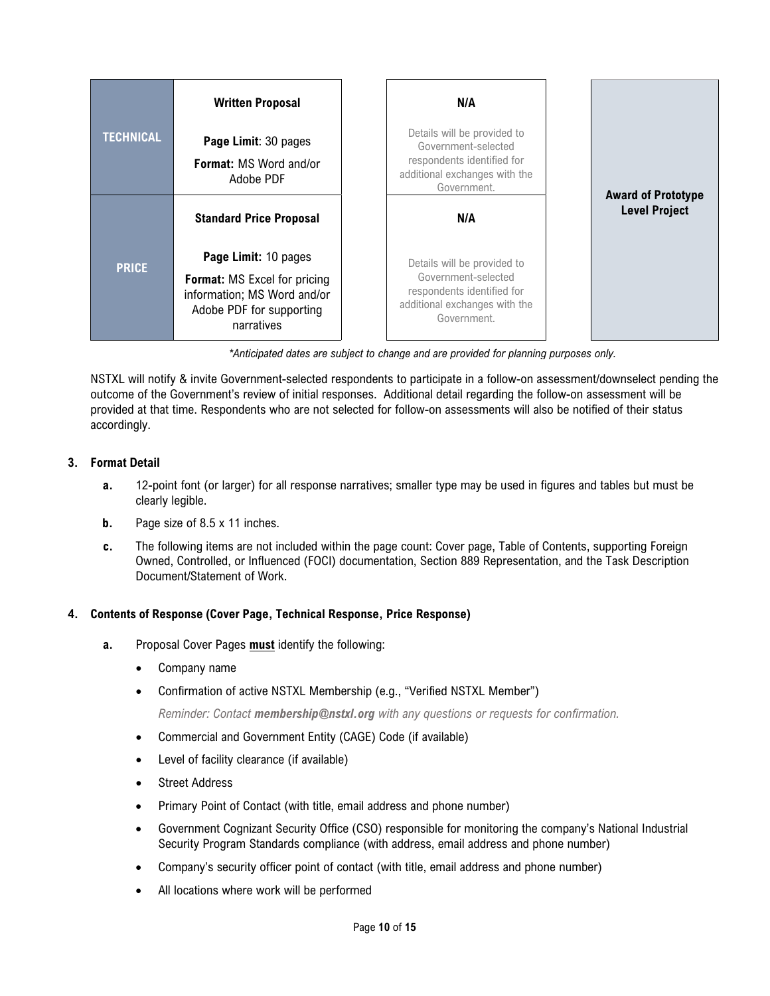|                  | <b>Written Proposal</b>                                                                                                              | N/A<br>Details will be provided to                                                                                               |  |                           |
|------------------|--------------------------------------------------------------------------------------------------------------------------------------|----------------------------------------------------------------------------------------------------------------------------------|--|---------------------------|
| <b>TECHNICAL</b> | Page Limit: 30 pages                                                                                                                 | Government-selected                                                                                                              |  |                           |
|                  | <b>Format: MS Word and/or</b><br>Adobe PDF                                                                                           | respondents identified for<br>additional exchanges with the<br>Government.                                                       |  | <b>Award of Prototype</b> |
|                  | <b>Standard Price Proposal</b>                                                                                                       | N/A                                                                                                                              |  | <b>Level Project</b>      |
| <b>PRICE</b>     | Page Limit: 10 pages<br><b>Format:</b> MS Excel for pricing<br>information; MS Word and/or<br>Adobe PDF for supporting<br>narratives | Details will be provided to<br>Government-selected<br>respondents identified for<br>additional exchanges with the<br>Government. |  |                           |

*\*Anticipated dates are subject to change and are provided for planning purposes only.*

NSTXL will notify & invite Government-selected respondents to participate in a follow-on assessment/downselect pending the outcome of the Government's review of initial responses. Additional detail regarding the follow-on assessment will be provided at that time. Respondents who are not selected for follow-on assessments will also be notified of their status accordingly.

## **3. Format Detail**

- **a.** 12-point font (or larger) for all response narratives; smaller type may be used in figures and tables but must be clearly legible.
- **b.** Page size of 8.5 x 11 inches.
- **c.** The following items are not included within the page count: Cover page, Table of Contents, supporting Foreign Owned, Controlled, or Influenced (FOCI) documentation, Section 889 Representation, and the Task Description Document/Statement of Work.

## **4. Contents of Response (Cover Page, Technical Response, Price Response)**

- **a.** Proposal Cover Pages **must** identify the following:
	- Company name
	- Confirmation of active NSTXL Membership (e.g., "Verified NSTXL Member")

*Reminder: Contact membership@nstxl.org with any questions or requests for confirmation.*

- Commercial and Government Entity (CAGE) Code (if available)
- Level of facility clearance (if available)
- Street Address
- Primary Point of Contact (with title, email address and phone number)
- Government Cognizant Security Office (CSO) responsible for monitoring the company's National Industrial Security Program Standards compliance (with address, email address and phone number)
- Company's security officer point of contact (with title, email address and phone number)
- All locations where work will be performed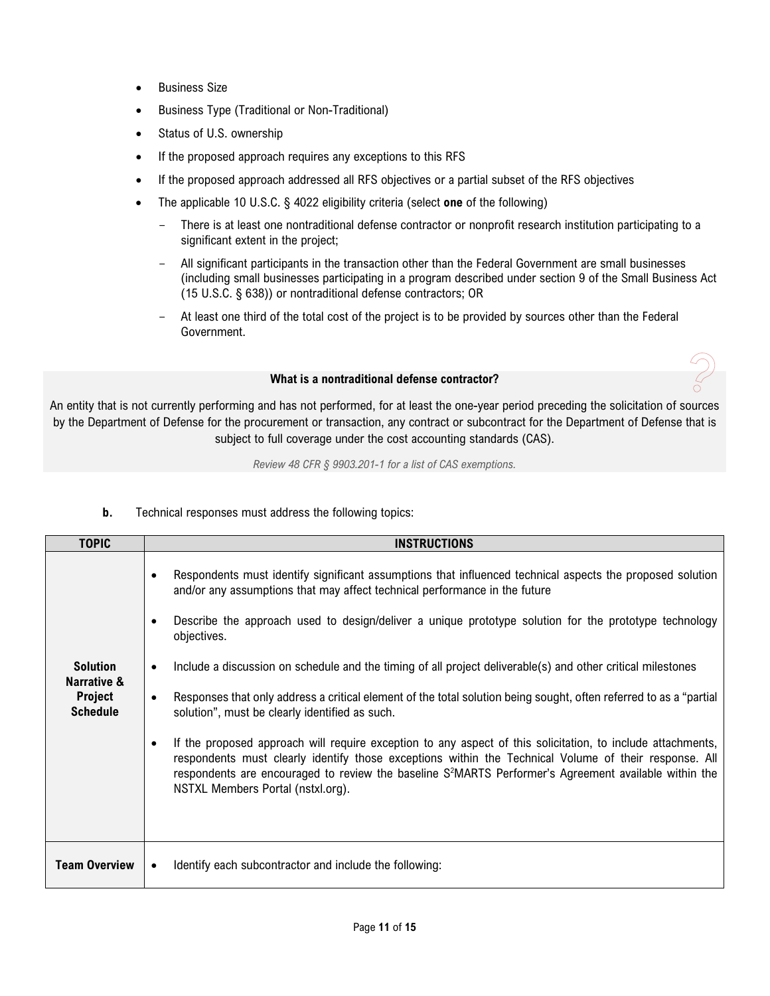- Business Size
- Business Type (Traditional or Non-Traditional)
- Status of U.S. ownership
- If the proposed approach requires any exceptions to this RFS
- If the proposed approach addressed all RFS objectives or a partial subset of the RFS objectives
- The applicable 10 U.S.C. § 4022 eligibility criteria (select **one** of the following)
	- There is at least one nontraditional defense contractor or nonprofit research institution participating to a significant extent in the project;
	- All significant participants in the transaction other than the Federal Government are small businesses (including small businesses participating in a program described under section 9 of the Small Business Act (15 U.S.C. § 638)) or nontraditional defense contractors; OR
	- At least one third of the total cost of the project is to be provided by sources other than the Federal Government.

#### **What is a nontraditional defense contractor?**

An entity that is not currently performing and has not performed, for at least the one-year period preceding the solicitation of sources by the Department of Defense for the procurement or transaction, any contract or subcontract for the Department of Defense that is subject to full coverage under the cost accounting standards (CAS).

*Review 48 CFR § 9903.201-1 for a list of CAS exemptions.*

| <b>TOPIC</b>                                                        | <b>INSTRUCTIONS</b>                                                                                                                                                                                                                                                                                                                                                                                                                                                                                                                                                                                                                                                                                                                                                                                                                                                                                                                                                                                                             |
|---------------------------------------------------------------------|---------------------------------------------------------------------------------------------------------------------------------------------------------------------------------------------------------------------------------------------------------------------------------------------------------------------------------------------------------------------------------------------------------------------------------------------------------------------------------------------------------------------------------------------------------------------------------------------------------------------------------------------------------------------------------------------------------------------------------------------------------------------------------------------------------------------------------------------------------------------------------------------------------------------------------------------------------------------------------------------------------------------------------|
| <b>Solution</b><br>Narrative &<br><b>Project</b><br><b>Schedule</b> | Respondents must identify significant assumptions that influenced technical aspects the proposed solution<br>$\bullet$<br>and/or any assumptions that may affect technical performance in the future<br>Describe the approach used to design/deliver a unique prototype solution for the prototype technology<br>objectives.<br>Include a discussion on schedule and the timing of all project deliverable(s) and other critical milestones<br>$\bullet$<br>Responses that only address a critical element of the total solution being sought, often referred to as a "partial<br>solution", must be clearly identified as such.<br>If the proposed approach will require exception to any aspect of this solicitation, to include attachments,<br>$\bullet$<br>respondents must clearly identify those exceptions within the Technical Volume of their response. All<br>respondents are encouraged to review the baseline S <sup>2</sup> MARTS Performer's Agreement available within the<br>NSTXL Members Portal (nstxl.org). |
| <b>Team Overview</b>                                                | Identify each subcontractor and include the following:                                                                                                                                                                                                                                                                                                                                                                                                                                                                                                                                                                                                                                                                                                                                                                                                                                                                                                                                                                          |

#### **b.** Technical responses must address the following topics: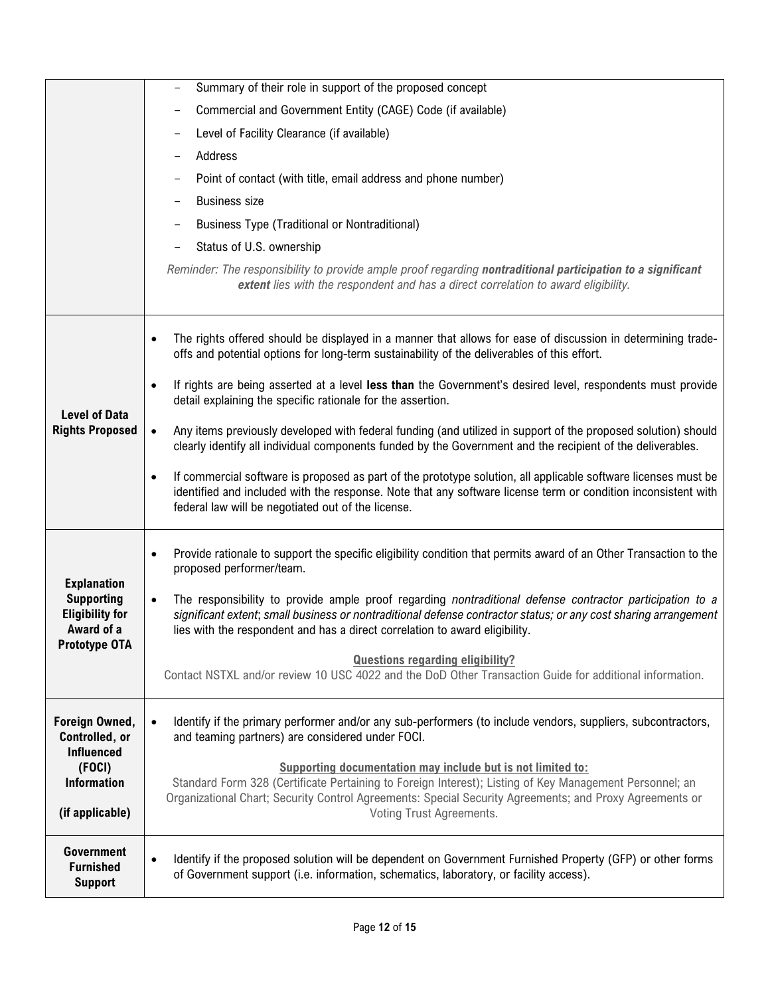|                                                                                                  | Summary of their role in support of the proposed concept                                                                                                                                                                                                                                                                |
|--------------------------------------------------------------------------------------------------|-------------------------------------------------------------------------------------------------------------------------------------------------------------------------------------------------------------------------------------------------------------------------------------------------------------------------|
|                                                                                                  | Commercial and Government Entity (CAGE) Code (if available)                                                                                                                                                                                                                                                             |
|                                                                                                  | Level of Facility Clearance (if available)                                                                                                                                                                                                                                                                              |
|                                                                                                  | Address                                                                                                                                                                                                                                                                                                                 |
|                                                                                                  | Point of contact (with title, email address and phone number)                                                                                                                                                                                                                                                           |
|                                                                                                  | <b>Business size</b>                                                                                                                                                                                                                                                                                                    |
|                                                                                                  | <b>Business Type (Traditional or Nontraditional)</b>                                                                                                                                                                                                                                                                    |
|                                                                                                  | Status of U.S. ownership                                                                                                                                                                                                                                                                                                |
|                                                                                                  | Reminder: The responsibility to provide ample proof regarding nontraditional participation to a significant                                                                                                                                                                                                             |
|                                                                                                  | extent lies with the respondent and has a direct correlation to award eligibility.                                                                                                                                                                                                                                      |
|                                                                                                  |                                                                                                                                                                                                                                                                                                                         |
|                                                                                                  | The rights offered should be displayed in a manner that allows for ease of discussion in determining trade-<br>$\bullet$<br>offs and potential options for long-term sustainability of the deliverables of this effort.                                                                                                 |
|                                                                                                  | If rights are being asserted at a level less than the Government's desired level, respondents must provide<br>$\bullet$<br>detail explaining the specific rationale for the assertion.                                                                                                                                  |
| <b>Level of Data</b><br><b>Rights Proposed</b>                                                   | Any items previously developed with federal funding (and utilized in support of the proposed solution) should<br>$\bullet$<br>clearly identify all individual components funded by the Government and the recipient of the deliverables.                                                                                |
|                                                                                                  | If commercial software is proposed as part of the prototype solution, all applicable software licenses must be<br>$\bullet$<br>identified and included with the response. Note that any software license term or condition inconsistent with<br>federal law will be negotiated out of the license.                      |
|                                                                                                  | Provide rationale to support the specific eligibility condition that permits award of an Other Transaction to the<br>$\bullet$<br>proposed performer/team.                                                                                                                                                              |
| <b>Explanation</b><br><b>Supporting</b><br><b>Eligibility for</b><br>Award of a<br>Prototype OTA | The responsibility to provide ample proof regarding nontraditional defense contractor participation to a<br>$\bullet$<br>significant extent; small business or nontraditional defense contractor status; or any cost sharing arrangement<br>lies with the respondent and has a direct correlation to award eligibility. |
|                                                                                                  | <b>Questions regarding eligibility?</b><br>Contact NSTXL and/or review 10 USC 4022 and the DoD Other Transaction Guide for additional information.                                                                                                                                                                      |
| Foreign Owned,<br>Controlled, or<br><b>Influenced</b>                                            | Identify if the primary performer and/or any sub-performers (to include vendors, suppliers, subcontractors,<br>$\bullet$<br>and teaming partners) are considered under FOCI.                                                                                                                                            |
| (FOCI)<br><b>Information</b><br>(if applicable)                                                  | <b>Supporting documentation may include but is not limited to:</b><br>Standard Form 328 (Certificate Pertaining to Foreign Interest); Listing of Key Management Personnel; an<br>Organizational Chart; Security Control Agreements: Special Security Agreements; and Proxy Agreements or<br>Voting Trust Agreements.    |
|                                                                                                  |                                                                                                                                                                                                                                                                                                                         |
| <b>Government</b><br><b>Furnished</b><br><b>Support</b>                                          | Identify if the proposed solution will be dependent on Government Furnished Property (GFP) or other forms<br>$\bullet$<br>of Government support (i.e. information, schematics, laboratory, or facility access).                                                                                                         |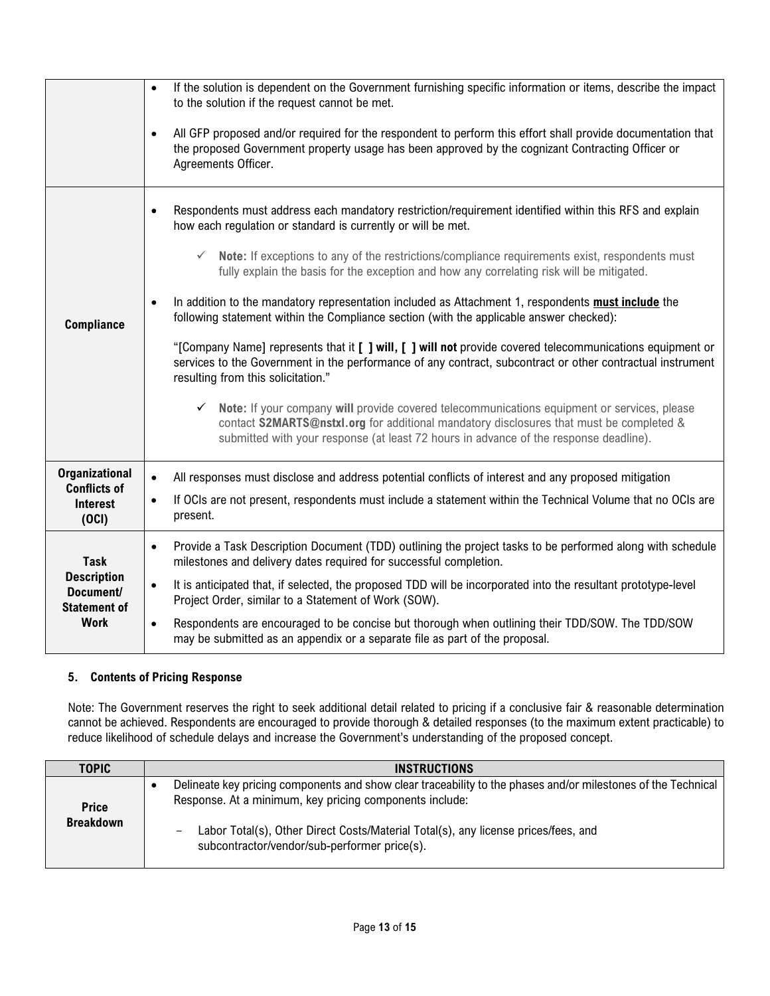|                                                                                      | If the solution is dependent on the Government furnishing specific information or items, describe the impact<br>$\bullet$<br>to the solution if the request cannot be met.<br>All GFP proposed and/or required for the respondent to perform this effort shall provide documentation that<br>$\bullet$<br>the proposed Government property usage has been approved by the cognizant Contracting Officer or<br>Agreements Officer.                                                                                                                                                                                                                                                                                                                                                                                                                                                                                                                                                                                                                                                                                                                                                    |
|--------------------------------------------------------------------------------------|--------------------------------------------------------------------------------------------------------------------------------------------------------------------------------------------------------------------------------------------------------------------------------------------------------------------------------------------------------------------------------------------------------------------------------------------------------------------------------------------------------------------------------------------------------------------------------------------------------------------------------------------------------------------------------------------------------------------------------------------------------------------------------------------------------------------------------------------------------------------------------------------------------------------------------------------------------------------------------------------------------------------------------------------------------------------------------------------------------------------------------------------------------------------------------------|
| <b>Compliance</b>                                                                    | Respondents must address each mandatory restriction/requirement identified within this RFS and explain<br>$\bullet$<br>how each regulation or standard is currently or will be met.<br>Note: If exceptions to any of the restrictions/compliance requirements exist, respondents must<br>$\checkmark$<br>fully explain the basis for the exception and how any correlating risk will be mitigated.<br>In addition to the mandatory representation included as Attachment 1, respondents must include the<br>$\bullet$<br>following statement within the Compliance section (with the applicable answer checked):<br>"[Company Name] represents that it [ ] will, [ ] will not provide covered telecommunications equipment or<br>services to the Government in the performance of any contract, subcontract or other contractual instrument<br>resulting from this solicitation."<br>Note: If your company will provide covered telecommunications equipment or services, please<br>$\checkmark$<br>contact S2MARTS@nstxl.org for additional mandatory disclosures that must be completed &<br>submitted with your response (at least 72 hours in advance of the response deadline). |
| <b>Organizational</b><br><b>Conflicts of</b><br><b>Interest</b><br>(OCI)             | All responses must disclose and address potential conflicts of interest and any proposed mitigation<br>$\bullet$<br>If OCIs are not present, respondents must include a statement within the Technical Volume that no OCIs are<br>$\bullet$<br>present.                                                                                                                                                                                                                                                                                                                                                                                                                                                                                                                                                                                                                                                                                                                                                                                                                                                                                                                              |
| <b>Task</b><br><b>Description</b><br>Document/<br><b>Statement of</b><br><b>Work</b> | Provide a Task Description Document (TDD) outlining the project tasks to be performed along with schedule<br>$\bullet$<br>milestones and delivery dates required for successful completion.<br>It is anticipated that, if selected, the proposed TDD will be incorporated into the resultant prototype-level<br>$\bullet$<br>Project Order, similar to a Statement of Work (SOW).<br>Respondents are encouraged to be concise but thorough when outlining their TDD/SOW. The TDD/SOW<br>$\bullet$<br>may be submitted as an appendix or a separate file as part of the proposal.                                                                                                                                                                                                                                                                                                                                                                                                                                                                                                                                                                                                     |

#### **5. Contents of Pricing Response**

Note: The Government reserves the right to seek additional detail related to pricing if a conclusive fair & reasonable determination cannot be achieved. Respondents are encouraged to provide thorough & detailed responses (to the maximum extent practicable) to reduce likelihood of schedule delays and increase the Government's understanding of the proposed concept.

| TOPIC                            | <b>INSTRUCTIONS</b>                                                                                                                                                                                                                                                                                            |
|----------------------------------|----------------------------------------------------------------------------------------------------------------------------------------------------------------------------------------------------------------------------------------------------------------------------------------------------------------|
| <b>Price</b><br><b>Breakdown</b> | Delineate key pricing components and show clear traceability to the phases and/or milestones of the Technical<br>Response. At a minimum, key pricing components include:<br>Labor Total(s), Other Direct Costs/Material Total(s), any license prices/fees, and<br>subcontractor/vendor/sub-performer price(s). |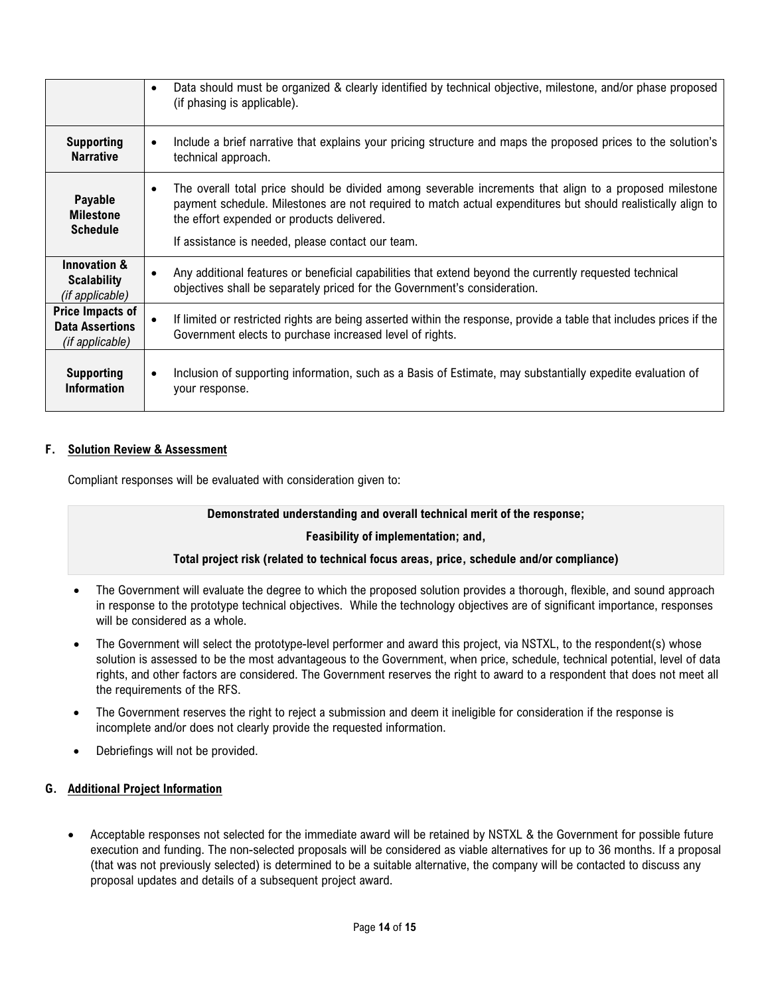|                                                                  | Data should must be organized & clearly identified by technical objective, milestone, and/or phase proposed<br>$\bullet$<br>(if phasing is applicable).                                                                                                                            |
|------------------------------------------------------------------|------------------------------------------------------------------------------------------------------------------------------------------------------------------------------------------------------------------------------------------------------------------------------------|
| <b>Supporting</b><br><b>Narrative</b>                            | Include a brief narrative that explains your pricing structure and maps the proposed prices to the solution's<br>$\bullet$<br>technical approach.                                                                                                                                  |
| Payable<br><b>Milestone</b><br><b>Schedule</b>                   | The overall total price should be divided among severable increments that align to a proposed milestone<br>$\bullet$<br>payment schedule. Milestones are not required to match actual expenditures but should realistically align to<br>the effort expended or products delivered. |
|                                                                  | If assistance is needed, please contact our team.                                                                                                                                                                                                                                  |
| <b>Innovation &amp;</b><br><b>Scalability</b><br>(if applicable) | Any additional features or beneficial capabilities that extend beyond the currently requested technical<br>$\bullet$<br>objectives shall be separately priced for the Government's consideration.                                                                                  |
| Price Impacts of<br><b>Data Assertions</b><br>(if applicable)    | If limited or restricted rights are being asserted within the response, provide a table that includes prices if the<br>$\bullet$<br>Government elects to purchase increased level of rights.                                                                                       |
| <b>Supporting</b><br><b>Information</b>                          | Inclusion of supporting information, such as a Basis of Estimate, may substantially expedite evaluation of<br>your response.                                                                                                                                                       |

## **F. Solution Review & Assessment**

Compliant responses will be evaluated with consideration given to:

#### **Demonstrated understanding and overall technical merit of the response;**

#### **Feasibility of implementation; and,**

#### **Total project risk (related to technical focus areas, price, schedule and/or compliance)**

- The Government will evaluate the degree to which the proposed solution provides a thorough, flexible, and sound approach in response to the prototype technical objectives. While the technology objectives are of significant importance, responses will be considered as a whole.
- The Government will select the prototype-level performer and award this project, via NSTXL, to the respondent(s) whose solution is assessed to be the most advantageous to the Government, when price, schedule, technical potential, level of data rights, and other factors are considered. The Government reserves the right to award to a respondent that does not meet all the requirements of the RFS.
- The Government reserves the right to reject a submission and deem it ineligible for consideration if the response is incomplete and/or does not clearly provide the requested information.
- Debriefings will not be provided.

#### **G. Additional Project Information**

• Acceptable responses not selected for the immediate award will be retained by NSTXL & the Government for possible future execution and funding. The non-selected proposals will be considered as viable alternatives for up to 36 months. If a proposal (that was not previously selected) is determined to be a suitable alternative, the company will be contacted to discuss any proposal updates and details of a subsequent project award.